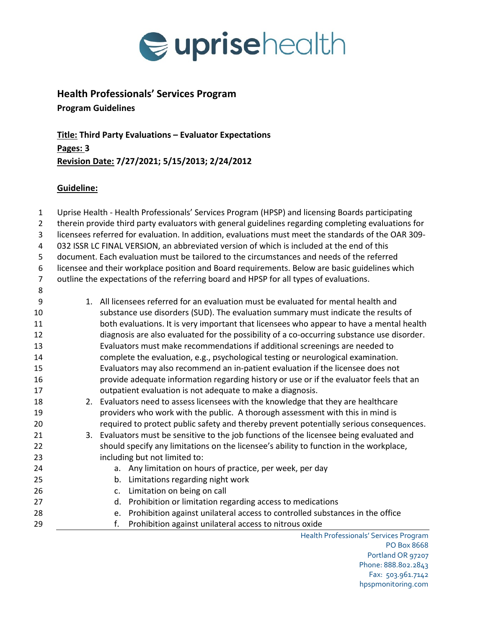

## **Health Professionals' Services Program Program Guidelines**

**Title: Third Party Evaluations – Evaluator Expectations Pages: 3 Revision Date: 7/27/2021; 5/15/2013; 2/24/2012**

## **Guideline:**

Health Professionals' Services Program Uprise Health - Health Professionals' Services Program (HPSP) and licensing Boards participating therein provide third party evaluators with general guidelines regarding completing evaluations for licensees referred for evaluation. In addition, evaluations must meet the standards of the OAR 309- 032 ISSR LC FINAL VERSION, an abbreviated version of which is included at the end of this document. Each evaluation must be tailored to the circumstances and needs of the referred licensee and their workplace position and Board requirements. Below are basic guidelines which outline the expectations of the referring board and HPSP for all types of evaluations. 1. All licensees referred for an evaluation must be evaluated for mental health and substance use disorders (SUD). The evaluation summary must indicate the results of both evaluations. It is very important that licensees who appear to have a mental health diagnosis are also evaluated for the possibility of a co-occurring substance use disorder. Evaluators must make recommendations if additional screenings are needed to complete the evaluation, e.g., psychological testing or neurological examination. Evaluators may also recommend an in-patient evaluation if the licensee does not provide adequate information regarding history or use or if the evaluator feels that an outpatient evaluation is not adequate to make a diagnosis. 2. Evaluators need to assess licensees with the knowledge that they are healthcare providers who work with the public. A thorough assessment with this in mind is required to protect public safety and thereby prevent potentially serious consequences. 3. Evaluators must be sensitive to the job functions of the licensee being evaluated and should specify any limitations on the licensee's ability to function in the workplace, including but not limited to: a. Any limitation on hours of practice, per week, per day b. Limitations regarding night work c. Limitation on being on call d. Prohibition or limitation regarding access to medications e. Prohibition against unilateral access to controlled substances in the office f. Prohibition against unilateral access to nitrous oxide

PO Box 8668 Portland OR 97207 Phone: 888.802.2843 Fax: 503.961.7142 hpspmonitoring.com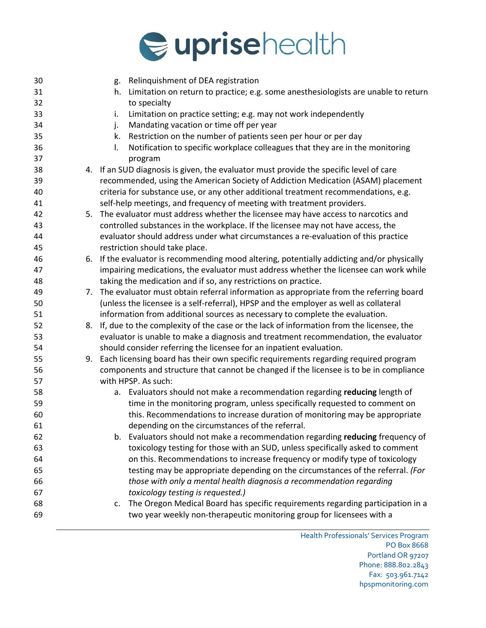

| 30 |    | g. Relinquishment of DEA registration                                                      |
|----|----|--------------------------------------------------------------------------------------------|
| 31 |    | Limitation on return to practice; e.g. some anesthesiologists are unable to return<br>h.   |
| 32 |    | to specialty                                                                               |
| 33 |    | Limitation on practice setting; e.g. may not work independently<br>i.                      |
| 34 |    | Mandating vacation or time off per year<br>j.                                              |
| 35 |    | Restriction on the number of patients seen per hour or per day<br>k.                       |
| 36 |    | Notification to specific workplace colleagues that they are in the monitoring<br>I.        |
| 37 |    | program                                                                                    |
| 38 |    | 4. If an SUD diagnosis is given, the evaluator must provide the specific level of care     |
| 39 |    | recommended, using the American Society of Addiction Medication (ASAM) placement           |
| 40 |    | criteria for substance use, or any other additional treatment recommendations, e.g.        |
| 41 |    | self-help meetings, and frequency of meeting with treatment providers.                     |
| 42 |    | 5. The evaluator must address whether the licensee may have access to narcotics and        |
| 43 |    | controlled substances in the workplace. If the licensee may not have access, the           |
| 44 |    | evaluator should address under what circumstances a re-evaluation of this practice         |
| 45 |    | restriction should take place.                                                             |
| 46 |    | 6. If the evaluator is recommending mood altering, potentially addicting and/or physically |
| 47 |    | impairing medications, the evaluator must address whether the licensee can work while      |
| 48 |    | taking the medication and if so, any restrictions on practice.                             |
| 49 |    | 7. The evaluator must obtain referral information as appropriate from the referring board  |
| 50 |    | (unless the licensee is a self-referral), HPSP and the employer as well as collateral      |
| 51 |    | information from additional sources as necessary to complete the evaluation.               |
| 52 | 8. | If, due to the complexity of the case or the lack of information from the licensee, the    |
| 53 |    | evaluator is unable to make a diagnosis and treatment recommendation, the evaluator        |
| 54 |    | should consider referring the licensee for an inpatient evaluation.                        |
| 55 | 9. | Each licensing board has their own specific requirements regarding required program        |
| 56 |    | components and structure that cannot be changed if the licensee is to be in compliance     |
| 57 |    | with HPSP. As such:                                                                        |
| 58 |    | a. Evaluators should not make a recommendation regarding reducing length of                |
| 59 |    | time in the monitoring program, unless specifically requested to comment on                |
| 60 |    | this. Recommendations to increase duration of monitoring may be appropriate                |
| 61 |    | depending on the circumstances of the referral.                                            |
| 62 |    | b. Evaluators should not make a recommendation regarding reducing frequency of             |
| 63 |    | toxicology testing for those with an SUD, unless specifically asked to comment             |
| 64 |    | on this. Recommendations to increase frequency or modify type of toxicology                |
| 65 |    | testing may be appropriate depending on the circumstances of the referral. (For            |
| 66 |    | those with only a mental health diagnosis a recommendation regarding                       |
| 67 |    | toxicology testing is requested.)                                                          |
| 68 |    | The Oregon Medical Board has specific requirements regarding participation in a<br>c.      |
| 69 |    | two year weekly non-therapeutic monitoring group for licensees with a                      |